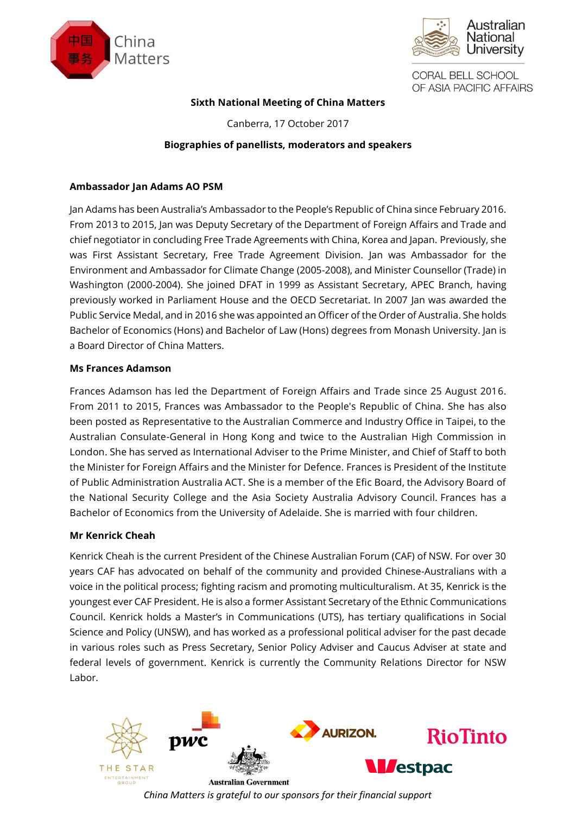



# **Sixth National Meeting of China Matters**

Canberra, 17 October 2017

# **Biographies of panellists, moderators and speakers**

## **Ambassador Jan Adams AO PSM**

Jan Adams has been Australia's Ambassador to the People's Republic of China since February 2016. From 2013 to 2015, Jan was Deputy Secretary of the Department of Foreign Affairs and Trade and chief negotiator in concluding Free Trade Agreements with China, Korea and Japan. Previously, she was First Assistant Secretary, Free Trade Agreement Division. Jan was Ambassador for the Environment and Ambassador for Climate Change (2005-2008), and Minister Counsellor (Trade) in Washington (2000-2004). She joined DFAT in 1999 as Assistant Secretary, APEC Branch, having previously worked in Parliament House and the OECD Secretariat. In 2007 Jan was awarded the Public Service Medal, and in 2016 she was appointed an Officer of the Order of Australia. She holds Bachelor of Economics (Hons) and Bachelor of Law (Hons) degrees from Monash University. Jan is a Board Director of China Matters.

## **Ms Frances Adamson**

Frances Adamson has led the Department of Foreign Affairs and Trade since 25 August 2016. From 2011 to 2015, Frances was Ambassador to the People's Republic of China. She has also been posted as Representative to the Australian Commerce and Industry Office in Taipei, to the Australian Consulate-General in Hong Kong and twice to the Australian High Commission in London. She has served as International Adviser to the Prime Minister, and Chief of Staff to both the Minister for Foreign Affairs and the Minister for Defence. Frances is President of the Institute of Public Administration Australia ACT. She is a member of the Efic Board, the Advisory Board of the National Security College and the Asia Society Australia Advisory Council. Frances has a Bachelor of Economics from the University of Adelaide. She is married with four children.

#### **Mr Kenrick Cheah**

Kenrick Cheah is the current President of the Chinese Australian Forum (CAF) of NSW. For over 30 years CAF has advocated on behalf of the community and provided Chinese-Australians with a voice in the political process; fighting racism and promoting multiculturalism. At 35, Kenrick is the youngest ever CAF President. He is also aformer Assistant Secretary of the Ethnic Communications Council. Kenrick holds a Master's in Communications (UTS), has tertiary qualifications in Social Science and Policy (UNSW), and has worked as a professional political adviser for the past decade in various roles such as Press Secretary, Senior Policy Adviser and Caucus Adviser at state and federal levels of government. Kenrick is currently the Community Relations Director for NSW Labor.

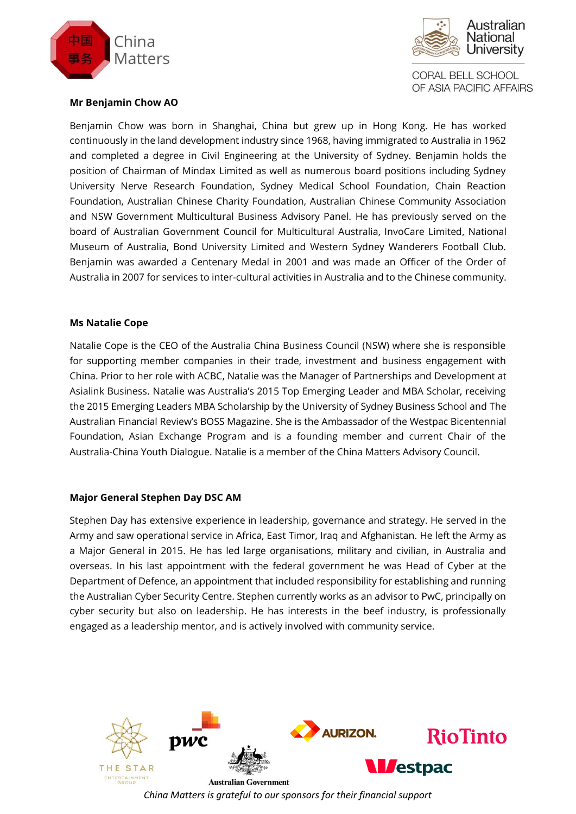



## **Mr Benjamin Chow AO**

Benjamin Chow was born in Shanghai, China but grew up in Hong Kong. He has worked continuously in the land development industry since 1968, having immigrated to Australia in 1962 and completed a degree in Civil Engineering at the University of Sydney. Benjamin holds the position of Chairman of Mindax Limited as well as numerous board positions including Sydney University Nerve Research Foundation, Sydney Medical School Foundation, Chain Reaction Foundation, Australian Chinese Charity Foundation, Australian Chinese Community Association and NSW Government Multicultural Business Advisory Panel. He has previously served on the board of Australian Government Council for Multicultural Australia, InvoCare Limited, National Museum of Australia, Bond University Limited and Western Sydney Wanderers Football Club. Benjamin was awarded a Centenary Medal in 2001 and was made an Officer of the Order of Australia in 2007 for services to inter-cultural activities in Australia and to the Chinese community.

## **Ms Natalie Cope**

Natalie Cope is the CEO of the Australia China Business Council (NSW) where she is responsible for supporting member companies in their trade, investment and business engagement with China. Prior to her role with ACBC, Natalie was the Manager of Partnerships and Development at Asialink Business. Natalie was Australia's 2015 Top Emerging Leader and MBA Scholar, receiving the 2015 Emerging Leaders MBA Scholarship by the University of Sydney Business School and The Australian Financial Review's BOSS Magazine. She is the Ambassador of the Westpac Bicentennial Foundation, Asian Exchange Program and is a founding member and current Chair of the Australia-China Youth Dialogue. Natalie is a member of the China Matters Advisory Council.

# **Major General Stephen Day DSC AM**

Stephen Day has extensive experience in leadership, governance and strategy. He served in the Army and saw operational service in Africa, East Timor, Iraq and Afghanistan. He left the Army as a Major General in 2015. He has led large organisations, military and civilian, in Australia and overseas. In his last appointment with the federal government he was Head of Cyber at the Department of Defence, an appointment that included responsibility for establishing and running the Australian Cyber Security Centre. Stephen currently works as an advisor to PwC, principally on cyber security but also on leadership. He has interests in the beef industry, is professionally engaged as a leadership mentor, and is actively involved with community service.

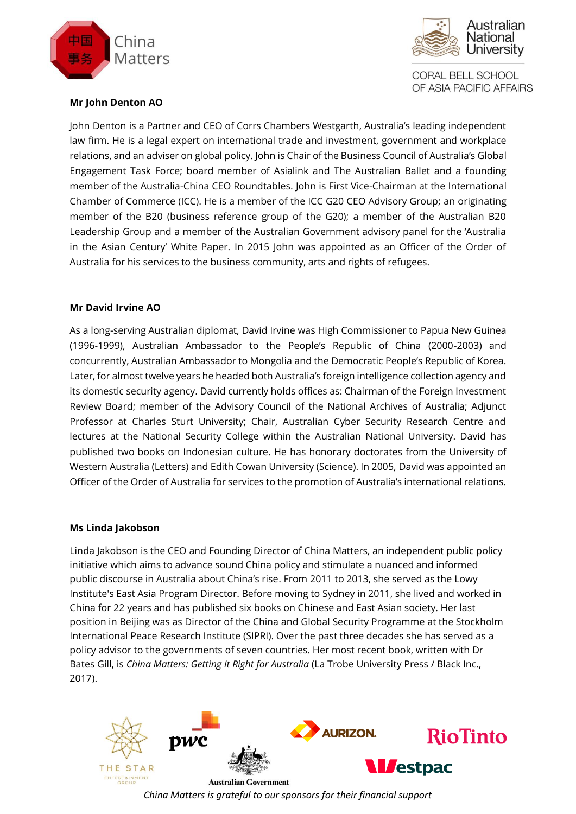



# **Mr John Denton AO**

John Denton is a Partner and CEO of Corrs Chambers Westgarth, Australia's leading independent law firm. He is a legal expert on international trade and investment, government and workplace relations, and an adviser on global policy. John is Chair of the Business Council of Australia's Global Engagement Task Force; board member of Asialink and The Australian Ballet and a founding member of the Australia-China CEO Roundtables. John is First Vice-Chairman at the International Chamber of Commerce (ICC). He is a member of the ICC G20 CEO Advisory Group; an originating member of the B20 (business reference group of the G20); a member of the Australian B20 Leadership Group and a member of the Australian Government advisory panel for the 'Australia in the Asian Century' White Paper. In 2015 John was appointed as an Officer of the Order of Australia for his services to the business community, arts and rights of refugees.

# **Mr David Irvine AO**

As a long-serving Australian diplomat, David Irvine was High Commissioner to Papua New Guinea (1996-1999), Australian Ambassador to the People's Republic of China (2000-2003) and concurrently, Australian Ambassador to Mongolia and the Democratic People's Republic of Korea. Later, for almost twelve years he headed both Australia's foreign intelligence collection agency and its domestic security agency. David currently holds offices as: Chairman of the Foreign Investment Review Board; member of the Advisory Council of the National Archives of Australia; Adjunct Professor at Charles Sturt University; Chair, Australian Cyber Security Research Centre and lectures at the National Security College within the Australian National University. David has published two books on Indonesian culture. He has honorary doctorates from the University of Western Australia (Letters) and Edith Cowan University (Science). In 2005, David was appointed an Officer of the Order of Australia for services to the promotion of Australia's international relations.

#### **Ms Linda Jakobson**

Linda Jakobson is the CEO and Founding Director of China Matters, an independent public policy initiative which aims to advance sound China policy and stimulate a nuanced and informed public discourse in Australia about China's rise. From 2011 to 2013, she served as the Lowy Institute's East Asia Program Director. Before moving to Sydney in 2011, she lived and worked in China for 22 years and has published six books on Chinese and East Asian society. Her last position in Beijing was as Director of the China and Global Security Programme at the Stockholm International Peace Research Institute (SIPRI). Over the past three decades she has served as a policy advisor to the governments of seven countries. Her most recent book, written with Dr Bates Gill, is *China Matters: Getting It Right for Australia* (La Trobe University Press / Black Inc., 2017).

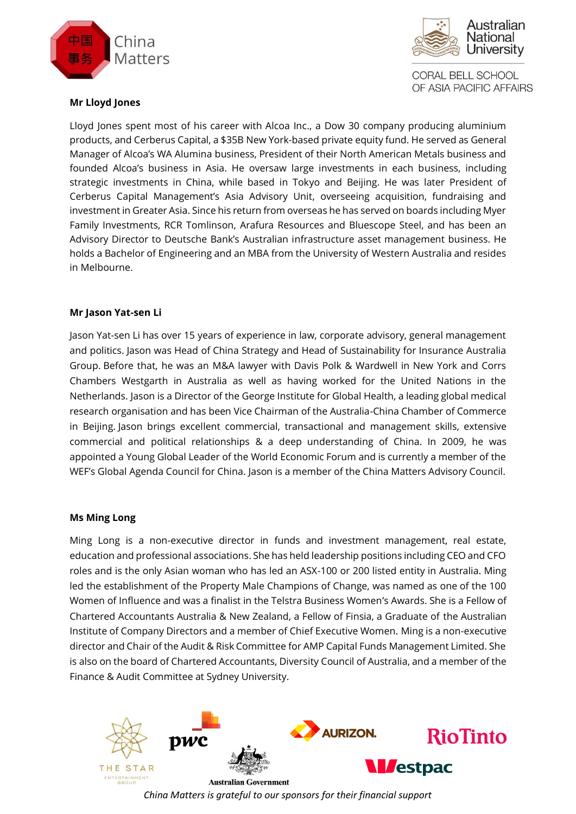



# **Mr Lloyd Jones**

Lloyd Jones spent most of his career with Alcoa Inc., a Dow 30 company producing aluminium products, and Cerberus Capital, a \$35B New York-based private equity fund. He served as General Manager of Alcoa's WA Alumina business, President of their North American Metals business and founded Alcoa's business in Asia. He oversaw large investments in each business, including strategic investments in China, while based in Tokyo and Beijing. He was later President of Cerberus Capital Management's Asia Advisory Unit, overseeing acquisition, fundraising and investment in Greater Asia. Since his return from overseas he has served on boards including Myer Family Investments, RCR Tomlinson, Arafura Resources and Bluescope Steel, and has been an Advisory Director to Deutsche Bank's Australian infrastructure asset management business. He holds a Bachelor of Engineering and an MBA from the University of Western Australia and resides in Melbourne.

## **Mr Jason Yat-sen Li**

Jason Yat-sen Li has over 15 years of experience in law, corporate advisory, general management and politics. Jason was Head of China Strategy and Head of Sustainability for Insurance Australia Group. Before that, he was an M&A lawyer with Davis Polk & Wardwell in New York and Corrs Chambers Westgarth in Australia as well as having worked for the United Nations in the Netherlands. Jason is a Director of the George Institute for Global Health, a leading global medical research organisation and has been Vice Chairman of the Australia-China Chamber of Commerce in Beijing. Jason brings excellent commercial, transactional and management skills, extensive commercial and political relationships & a deep understanding of China. In 2009, he was appointed a Young Global Leader of the World Economic Forum and is currently a member of the WEF's Global Agenda Council for China. Jason is a member of the China Matters Advisory Council.

# **Ms Ming Long**

Ming Long is a non-executive director in funds and investment management, real estate, education and professional associations. She has held leadership positions including CEO and CFO roles and is the only Asian woman who has led an ASX-100 or 200 listed entity in Australia. Ming led the establishment of the Property Male Champions of Change, was named as one of the 100 Women of Influence and was a finalist in the Telstra Business Women's Awards. She is a Fellow of Chartered Accountants Australia & New Zealand, a Fellow of Finsia, a Graduate of the Australian Institute of Company Directors and a member of Chief Executive Women. Ming is a non-executive director and Chair of the Audit & Risk Committee for AMP Capital Funds Management Limited. She is also on the board of Chartered Accountants, Diversity Council of Australia, and a member of the Finance & Audit Committee at Sydney University.

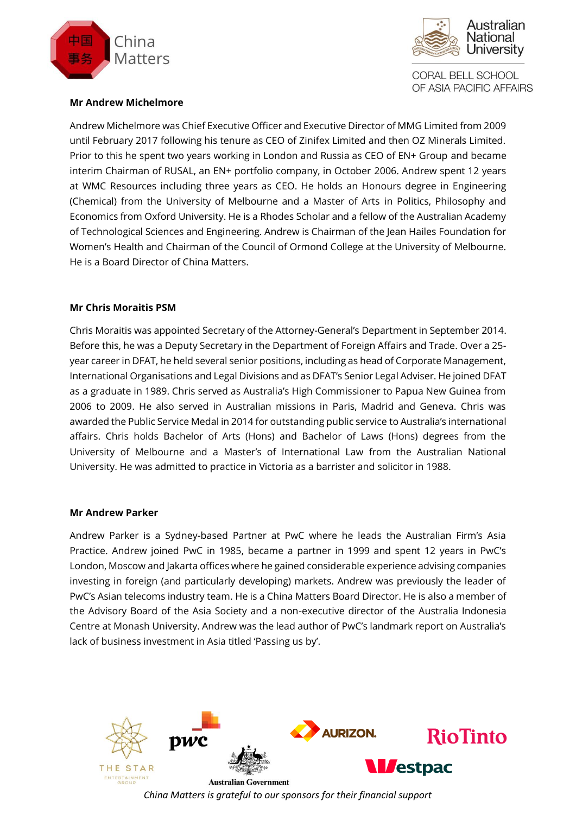



## **Mr Andrew Michelmore**

Andrew Michelmore was Chief Executive Officer and Executive Director of MMG Limited from 2009 until February 2017 following his tenure as CEO of Zinifex Limited and then OZ Minerals Limited. Prior to this he spent two years working in London and Russia as CEO of EN+ Group and became interim Chairman of RUSAL, an EN+ portfolio company, in October 2006. Andrew spent 12 years at WMC Resources including three years as CEO. He holds an Honours degree in Engineering (Chemical) from the University of Melbourne and a Master of Arts in Politics, Philosophy and Economics from Oxford University. He is a Rhodes Scholar and a fellow of the Australian Academy of Technological Sciences and Engineering. Andrew is Chairman of the Jean Hailes Foundation for Women's Health and Chairman of the Council of Ormond College at the University of Melbourne. He is a Board Director of China Matters.

## **Mr Chris Moraitis PSM**

Chris Moraitis was appointed Secretary of the Attorney-General's Department in September 2014. Before this, he was a Deputy Secretary in the Department of Foreign Affairs and Trade. Over a 25 year career in DFAT, he held several senior positions, including as head of Corporate Management, International Organisations and Legal Divisions and as DFAT's Senior Legal Adviser. He joined DFAT as a graduate in 1989. Chris served as Australia's High Commissioner to Papua New Guinea from 2006 to 2009. He also served in Australian missions in Paris, Madrid and Geneva. Chris was awarded the Public Service Medal in 2014 for outstanding public service to Australia's international affairs. Chris holds Bachelor of Arts (Hons) and Bachelor of Laws (Hons) degrees from the University of Melbourne and a Master's of International Law from the Australian National University. He was admitted to practice in Victoria as a barrister and solicitor in 1988.

#### **Mr Andrew Parker**

Andrew Parker is a Sydney-based Partner at PwC where he leads the Australian Firm's Asia Practice. Andrew joined PwC in 1985, became a partner in 1999 and spent 12 years in PwC's London, Moscow and Jakarta offices where he gained considerable experience advising companies investing in foreign (and particularly developing) markets. Andrew was previously the leader of PwC's Asian telecoms industry team. He is a China Matters Board Director. He is also a member of the Advisory Board of the Asia Society and a non-executive director of the Australia Indonesia Centre at Monash University. Andrew was the lead author of PwC's landmark report on Australia's lack of business investment in Asia titled 'Passing us by'.

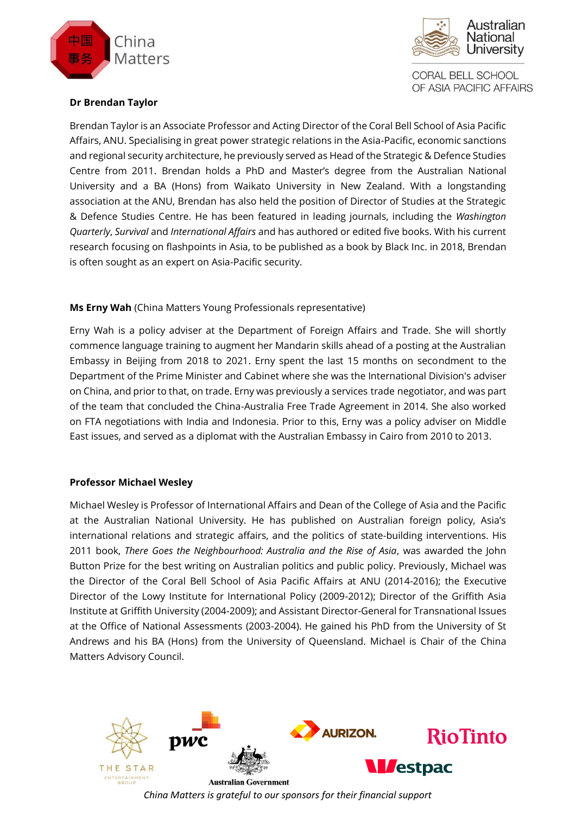



# **Dr Brendan Taylor**

Brendan Taylor is an Associate Professor and Acting Director of the Coral Bell School of Asia Pacific Affairs, ANU. Specialising in great power strategic relations in the Asia-Pacific, economic sanctions and regional security architecture, he previously served as Head of the Strategic & Defence Studies Centre from 2011. Brendan holds a PhD and Master's degree from the Australian National University and a BA (Hons) from Waikato University in New Zealand. With a longstanding association at the ANU, Brendan has also held the position of Director of Studies at the Strategic & Defence Studies Centre. He has been featured in leading journals, including the *Washington Quarterly*, *Survival* and *International Affairs* and has authored or edited five books. With his current research focusing on flashpoints in Asia, to be published as a book by Black Inc. in 2018, Brendan is often sought as an expert on Asia-Pacific security.

# **Ms Erny Wah** (China Matters Young Professionals representative)

Erny Wah is a policy adviser at the Department of Foreign Affairs and Trade. She will shortly commence language training to augment her Mandarin skills ahead of a posting at the Australian Embassy in Beijing from 2018 to 2021. Erny spent the last 15 months on secondment to the Department of the Prime Minister and Cabinet where she was the International Division's adviser on China, and prior to that, on trade. Erny was previously a services trade negotiator, and was part of the team that concluded the China-Australia Free Trade Agreement in 2014. She also worked on FTA negotiations with India and Indonesia. Prior to this, Erny was a policy adviser on Middle East issues, and served as a diplomat with the Australian Embassy in Cairo from 2010 to 2013.

# **Professor Michael Wesley**

Michael Wesley is Professor of International Affairs and Dean of the College of Asia and the Pacific at the Australian National University. He has published on Australian foreign policy, Asia's international relations and strategic affairs, and the politics of state-building interventions. His 2011 book, *There Goes the Neighbourhood: Australia and the Rise of Asia*, was awarded the John Button Prize for the best writing on Australian politics and public policy. Previously, Michael was the Director of the Coral Bell School of Asia Pacific Affairs at ANU (2014-2016); the Executive Director of the Lowy Institute for International Policy (2009-2012); Director of the Griffith Asia Institute at Griffith University (2004-2009); and Assistant Director-General for Transnational Issues at the Office of National Assessments (2003-2004). He gained his PhD from the University of St Andrews and his BA (Hons) from the University of Queensland. Michael is Chair of the China Matters Advisory Council.